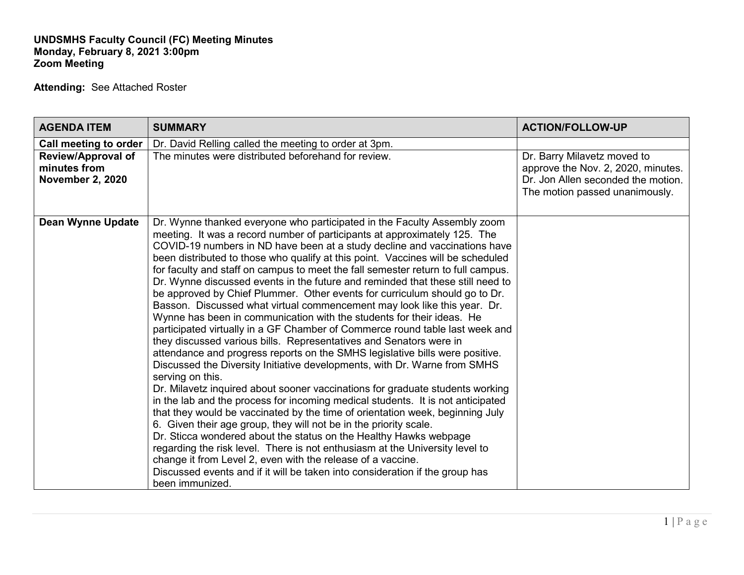## **UNDSMHS Faculty Council (FC) Meeting Minutes Monday, February 8, 2021 3:00pm Zoom Meeting**

**Attending:** See Attached Roster

| <b>AGENDA ITEM</b>                                                   | <b>SUMMARY</b>                                                                                                                                                                                                                                                                                                                                                                                                                                                                                                                                                                                                                                                                                                                                                                                                                                                                                                                                                                                                                                                                                                                                                                                                                                                                                                                                                                                                                                                                                                                                                                                                                                                                                                         | <b>ACTION/FOLLOW-UP</b>                                                                                                                   |
|----------------------------------------------------------------------|------------------------------------------------------------------------------------------------------------------------------------------------------------------------------------------------------------------------------------------------------------------------------------------------------------------------------------------------------------------------------------------------------------------------------------------------------------------------------------------------------------------------------------------------------------------------------------------------------------------------------------------------------------------------------------------------------------------------------------------------------------------------------------------------------------------------------------------------------------------------------------------------------------------------------------------------------------------------------------------------------------------------------------------------------------------------------------------------------------------------------------------------------------------------------------------------------------------------------------------------------------------------------------------------------------------------------------------------------------------------------------------------------------------------------------------------------------------------------------------------------------------------------------------------------------------------------------------------------------------------------------------------------------------------------------------------------------------------|-------------------------------------------------------------------------------------------------------------------------------------------|
| Call meeting to order                                                | Dr. David Relling called the meeting to order at 3pm.                                                                                                                                                                                                                                                                                                                                                                                                                                                                                                                                                                                                                                                                                                                                                                                                                                                                                                                                                                                                                                                                                                                                                                                                                                                                                                                                                                                                                                                                                                                                                                                                                                                                  |                                                                                                                                           |
| <b>Review/Approval of</b><br>minutes from<br><b>November 2, 2020</b> | The minutes were distributed beforehand for review.                                                                                                                                                                                                                                                                                                                                                                                                                                                                                                                                                                                                                                                                                                                                                                                                                                                                                                                                                                                                                                                                                                                                                                                                                                                                                                                                                                                                                                                                                                                                                                                                                                                                    | Dr. Barry Milavetz moved to<br>approve the Nov. 2, 2020, minutes.<br>Dr. Jon Allen seconded the motion.<br>The motion passed unanimously. |
| <b>Dean Wynne Update</b>                                             | Dr. Wynne thanked everyone who participated in the Faculty Assembly zoom<br>meeting. It was a record number of participants at approximately 125. The<br>COVID-19 numbers in ND have been at a study decline and vaccinations have<br>been distributed to those who qualify at this point. Vaccines will be scheduled<br>for faculty and staff on campus to meet the fall semester return to full campus.<br>Dr. Wynne discussed events in the future and reminded that these still need to<br>be approved by Chief Plummer. Other events for curriculum should go to Dr.<br>Basson. Discussed what virtual commencement may look like this year. Dr.<br>Wynne has been in communication with the students for their ideas. He<br>participated virtually in a GF Chamber of Commerce round table last week and<br>they discussed various bills. Representatives and Senators were in<br>attendance and progress reports on the SMHS legislative bills were positive.<br>Discussed the Diversity Initiative developments, with Dr. Warne from SMHS<br>serving on this.<br>Dr. Milavetz inquired about sooner vaccinations for graduate students working<br>in the lab and the process for incoming medical students. It is not anticipated<br>that they would be vaccinated by the time of orientation week, beginning July<br>6. Given their age group, they will not be in the priority scale.<br>Dr. Sticca wondered about the status on the Healthy Hawks webpage<br>regarding the risk level. There is not enthusiasm at the University level to<br>change it from Level 2, even with the release of a vaccine.<br>Discussed events and if it will be taken into consideration if the group has<br>been immunized. |                                                                                                                                           |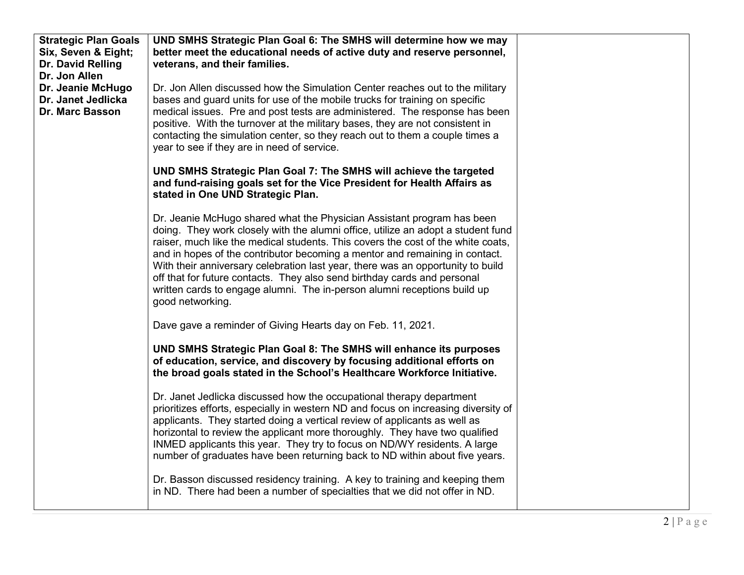| <b>Strategic Plan Goals</b> | UND SMHS Strategic Plan Goal 6: The SMHS will determine how we may                                                                                          |  |
|-----------------------------|-------------------------------------------------------------------------------------------------------------------------------------------------------------|--|
| Six, Seven & Eight;         | better meet the educational needs of active duty and reserve personnel,                                                                                     |  |
| Dr. David Relling           | veterans, and their families.                                                                                                                               |  |
| Dr. Jon Allen               |                                                                                                                                                             |  |
| Dr. Jeanie McHugo           | Dr. Jon Allen discussed how the Simulation Center reaches out to the military                                                                               |  |
| Dr. Janet Jedlicka          | bases and guard units for use of the mobile trucks for training on specific                                                                                 |  |
| <b>Dr. Marc Basson</b>      | medical issues. Pre and post tests are administered. The response has been<br>positive. With the turnover at the military bases, they are not consistent in |  |
|                             | contacting the simulation center, so they reach out to them a couple times a                                                                                |  |
|                             | year to see if they are in need of service.                                                                                                                 |  |
|                             |                                                                                                                                                             |  |
|                             | UND SMHS Strategic Plan Goal 7: The SMHS will achieve the targeted                                                                                          |  |
|                             | and fund-raising goals set for the Vice President for Health Affairs as                                                                                     |  |
|                             | stated in One UND Strategic Plan.                                                                                                                           |  |
|                             | Dr. Jeanie McHugo shared what the Physician Assistant program has been                                                                                      |  |
|                             | doing. They work closely with the alumni office, utilize an adopt a student fund                                                                            |  |
|                             | raiser, much like the medical students. This covers the cost of the white coats,                                                                            |  |
|                             | and in hopes of the contributor becoming a mentor and remaining in contact.                                                                                 |  |
|                             | With their anniversary celebration last year, there was an opportunity to build                                                                             |  |
|                             | off that for future contacts. They also send birthday cards and personal                                                                                    |  |
|                             | written cards to engage alumni. The in-person alumni receptions build up                                                                                    |  |
|                             | good networking.                                                                                                                                            |  |
|                             | Dave gave a reminder of Giving Hearts day on Feb. 11, 2021.                                                                                                 |  |
|                             |                                                                                                                                                             |  |
|                             | UND SMHS Strategic Plan Goal 8: The SMHS will enhance its purposes                                                                                          |  |
|                             | of education, service, and discovery by focusing additional efforts on                                                                                      |  |
|                             | the broad goals stated in the School's Healthcare Workforce Initiative.                                                                                     |  |
|                             | Dr. Janet Jedlicka discussed how the occupational therapy department                                                                                        |  |
|                             | prioritizes efforts, especially in western ND and focus on increasing diversity of                                                                          |  |
|                             | applicants. They started doing a vertical review of applicants as well as                                                                                   |  |
|                             | horizontal to review the applicant more thoroughly. They have two qualified                                                                                 |  |
|                             | INMED applicants this year. They try to focus on ND/WY residents. A large                                                                                   |  |
|                             | number of graduates have been returning back to ND within about five years.                                                                                 |  |
|                             | Dr. Basson discussed residency training. A key to training and keeping them                                                                                 |  |
|                             | in ND. There had been a number of specialties that we did not offer in ND.                                                                                  |  |
|                             |                                                                                                                                                             |  |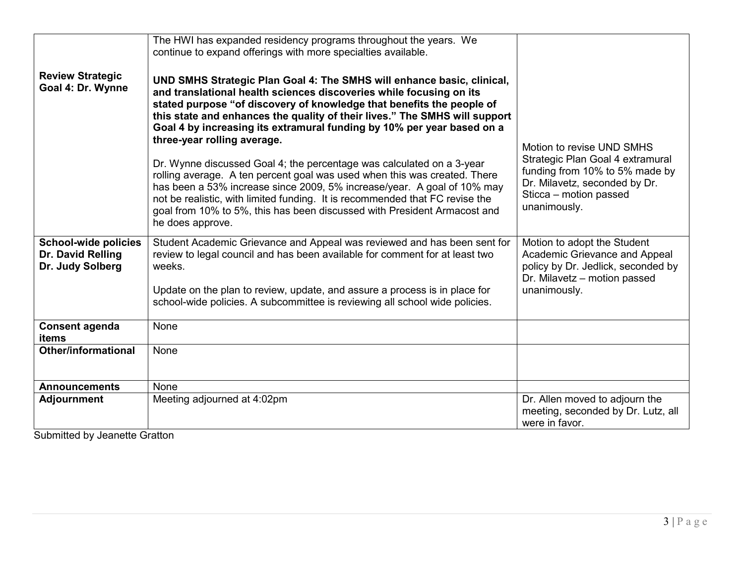| <b>Review Strategic</b><br>Goal 4: Dr. Wynne                         | The HWI has expanded residency programs throughout the years. We<br>continue to expand offerings with more specialties available.<br>UND SMHS Strategic Plan Goal 4: The SMHS will enhance basic, clinical,<br>and translational health sciences discoveries while focusing on its<br>stated purpose "of discovery of knowledge that benefits the people of<br>this state and enhances the quality of their lives." The SMHS will support<br>Goal 4 by increasing its extramural funding by 10% per year based on a<br>three-year rolling average.<br>Dr. Wynne discussed Goal 4; the percentage was calculated on a 3-year<br>rolling average. A ten percent goal was used when this was created. There<br>has been a 53% increase since 2009, 5% increase/year. A goal of 10% may<br>not be realistic, with limited funding. It is recommended that FC revise the<br>goal from 10% to 5%, this has been discussed with President Armacost and | Motion to revise UND SMHS<br>Strategic Plan Goal 4 extramural<br>funding from 10% to 5% made by<br>Dr. Milavetz, seconded by Dr.<br>Sticca - motion passed<br>unanimously. |
|----------------------------------------------------------------------|-------------------------------------------------------------------------------------------------------------------------------------------------------------------------------------------------------------------------------------------------------------------------------------------------------------------------------------------------------------------------------------------------------------------------------------------------------------------------------------------------------------------------------------------------------------------------------------------------------------------------------------------------------------------------------------------------------------------------------------------------------------------------------------------------------------------------------------------------------------------------------------------------------------------------------------------------|----------------------------------------------------------------------------------------------------------------------------------------------------------------------------|
|                                                                      | he does approve.                                                                                                                                                                                                                                                                                                                                                                                                                                                                                                                                                                                                                                                                                                                                                                                                                                                                                                                                |                                                                                                                                                                            |
| <b>School-wide policies</b><br>Dr. David Relling<br>Dr. Judy Solberg | Student Academic Grievance and Appeal was reviewed and has been sent for<br>review to legal council and has been available for comment for at least two<br>weeks.<br>Update on the plan to review, update, and assure a process is in place for                                                                                                                                                                                                                                                                                                                                                                                                                                                                                                                                                                                                                                                                                                 | Motion to adopt the Student<br>Academic Grievance and Appeal<br>policy by Dr. Jedlick, seconded by<br>Dr. Milavetz - motion passed<br>unanimously.                         |
|                                                                      | school-wide policies. A subcommittee is reviewing all school wide policies.                                                                                                                                                                                                                                                                                                                                                                                                                                                                                                                                                                                                                                                                                                                                                                                                                                                                     |                                                                                                                                                                            |
| <b>Consent agenda</b><br>items                                       | <b>None</b>                                                                                                                                                                                                                                                                                                                                                                                                                                                                                                                                                                                                                                                                                                                                                                                                                                                                                                                                     |                                                                                                                                                                            |
| <b>Other/informational</b>                                           | None                                                                                                                                                                                                                                                                                                                                                                                                                                                                                                                                                                                                                                                                                                                                                                                                                                                                                                                                            |                                                                                                                                                                            |
| <b>Announcements</b>                                                 | None                                                                                                                                                                                                                                                                                                                                                                                                                                                                                                                                                                                                                                                                                                                                                                                                                                                                                                                                            |                                                                                                                                                                            |
| <b>Adjournment</b>                                                   | Meeting adjourned at 4:02pm                                                                                                                                                                                                                                                                                                                                                                                                                                                                                                                                                                                                                                                                                                                                                                                                                                                                                                                     | Dr. Allen moved to adjourn the<br>meeting, seconded by Dr. Lutz, all<br>were in favor.                                                                                     |

Submitted by Jeanette Gratton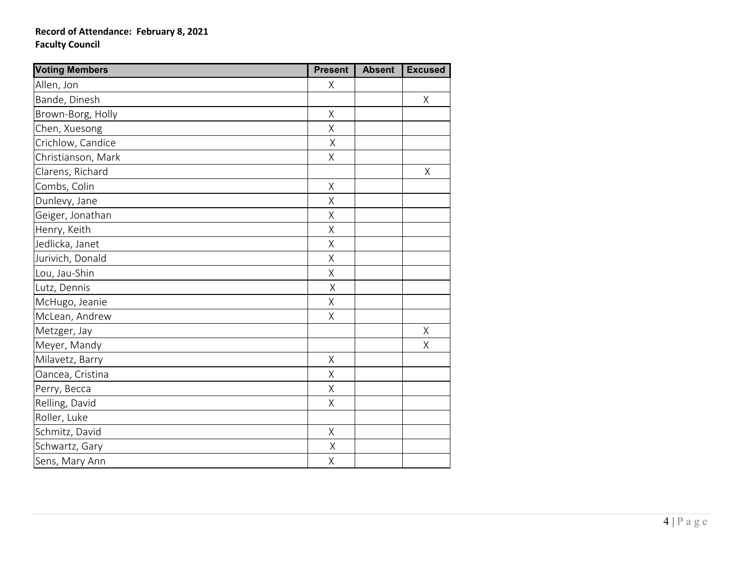## **Record of Attendance: February 8, 2021 Faculty Council**

| <b>Voting Members</b> | <b>Present</b> | <b>Absent</b> | <b>Excused</b> |
|-----------------------|----------------|---------------|----------------|
| Allen, Jon            | X              |               |                |
| Bande, Dinesh         |                |               | $\sf X$        |
| Brown-Borg, Holly     | Χ              |               |                |
| Chen, Xuesong         | Χ              |               |                |
| Crichlow, Candice     | Χ              |               |                |
| Christianson, Mark    | X              |               |                |
| Clarens, Richard      |                |               | $\sf X$        |
| Combs, Colin          | Χ              |               |                |
| Dunlevy, Jane         | $\sf X$        |               |                |
| Geiger, Jonathan      | Χ              |               |                |
| Henry, Keith          | $\sf X$        |               |                |
| Jedlicka, Janet       | Χ              |               |                |
| Jurivich, Donald      | Χ              |               |                |
| Lou, Jau-Shin         | X              |               |                |
| Lutz, Dennis          | $\sf X$        |               |                |
| McHugo, Jeanie        | Χ              |               |                |
| McLean, Andrew        | $\sf X$        |               |                |
| Metzger, Jay          |                |               | Χ              |
| Meyer, Mandy          |                |               | $\sf X$        |
| Milavetz, Barry       | $\sf X$        |               |                |
| Oancea, Cristina      | Χ              |               |                |
| Perry, Becca          | $\sf X$        |               |                |
| Relling, David        | X              |               |                |
| Roller, Luke          |                |               |                |
| Schmitz, David        | $\mathsf X$    |               |                |
| Schwartz, Gary        | $\sf X$        |               |                |
| Sens, Mary Ann        | Χ              |               |                |